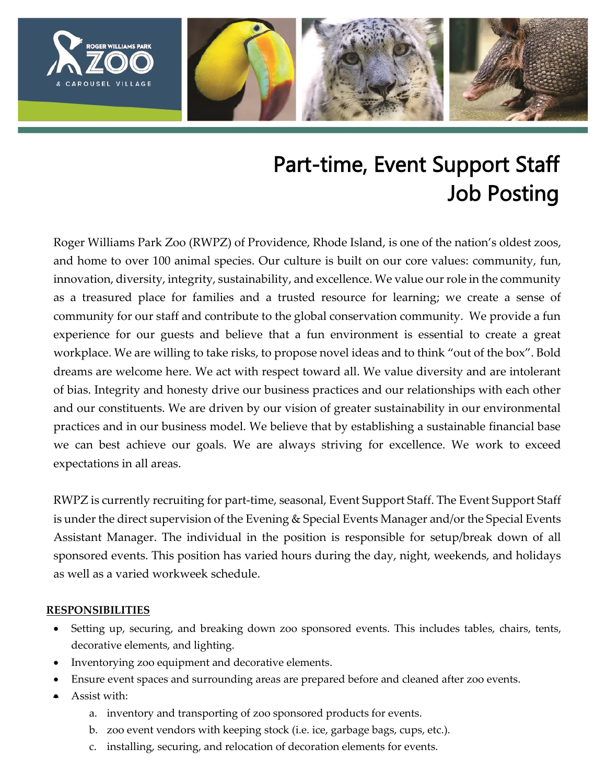

# Part-time, Event Support Staff Job Posting

Roger Williams Park Zoo (RWPZ) of Providence, Rhode Island, is one of the nation's oldest zoos, and home to over 100 animal species. Our culture is built on our core values: community, fun, innovation, diversity, integrity, sustainability, and excellence. We value our role in the community as a treasured place for families and a trusted resource for learning; we create a sense of community for our staff and contribute to the global conservation community. We provide a fun experience for our guests and believe that a fun environment is essential to create a great workplace. We are willing to take risks, to propose novel ideas and to think "out of the box". Bold dreams are welcome here. We act with respect toward all. We value diversity and are intolerant of bias. Integrity and honesty drive our business practices and our relationships with each other and our constituents. We are driven by our vision of greater sustainability in our environmental practices and in our business model. We believe that by establishing a sustainable financial base we can best achieve our goals. We are always striving for excellence. We work to exceed expectations in all areas.

RWPZ is currently recruiting for part-time, seasonal, Event Support Staff. The Event Support Staff is under the direct supervision of the Evening & Special Events Manager and/or the Special Events Assistant Manager. The individual in the position is responsible for setup/break down of all sponsored events. This position has varied hours during the day, night, weekends, and holidays as well as a varied workweek schedule.

#### **RESPONSIBILITIES**

- Setting up, securing, and breaking down zoo sponsored events. This includes tables, chairs, tents, decorative elements, and lighting.
- Inventorying zoo equipment and decorative elements.
- Ensure event spaces and surrounding areas are prepared before and cleaned after zoo events.
- Assist with:
	- a. inventory and transporting of zoo sponsored products for events.
	- b. zoo event vendors with keeping stock (i.e. ice, garbage bags, cups, etc.).
	- c. installing, securing, and relocation of decoration elements for events.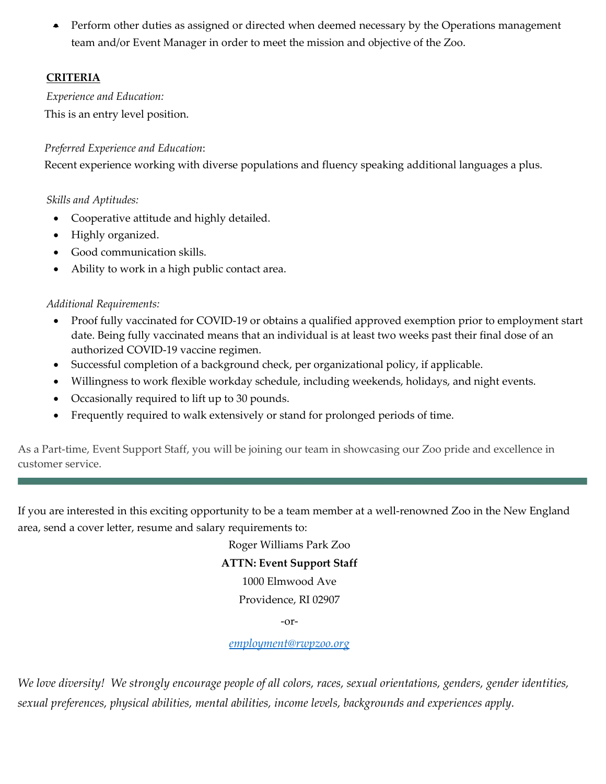• Perform other duties as assigned or directed when deemed necessary by the Operations management team and/or Event Manager in order to meet the mission and objective of the Zoo.

# **CRITERIA**

*Experience and Education:* This is an entry level position.

# *Preferred Experience and Education*:

Recent experience working with diverse populations and fluency speaking additional languages a plus.

#### *Skills and Aptitudes:*

- Cooperative attitude and highly detailed.
- Highly organized.
- Good communication skills.
- Ability to work in a high public contact area.

# *Additional Requirements:*

- Proof fully vaccinated for COVID-19 or obtains a qualified approved exemption prior to employment start date. Being fully vaccinated means that an individual is at least two weeks past their final dose of an authorized COVID-19 vaccine regimen.
- Successful completion of a background check, per organizational policy, if applicable.
- Willingness to work flexible workday schedule, including weekends, holidays, and night events.
- Occasionally required to lift up to 30 pounds.
- Frequently required to walk extensively or stand for prolonged periods of time.

As a Part-time, Event Support Staff, you will be joining our team in showcasing our Zoo pride and excellence in customer service.

If you are interested in this exciting opportunity to be a team member at a well-renowned Zoo in the New England area, send a cover letter, resume and salary requirements to:

Roger Williams Park Zoo

# **ATTN: Event Support Staff**

1000 Elmwood Ave

Providence, RI 02907

-or-

#### *[employment@rwpzoo.org](mailto:employment@rwpzoo.org)*

*We love diversity! We strongly encourage people of all colors, races, sexual orientations, genders, gender identities, sexual preferences, physical abilities, mental abilities, income levels, backgrounds and experiences apply.*